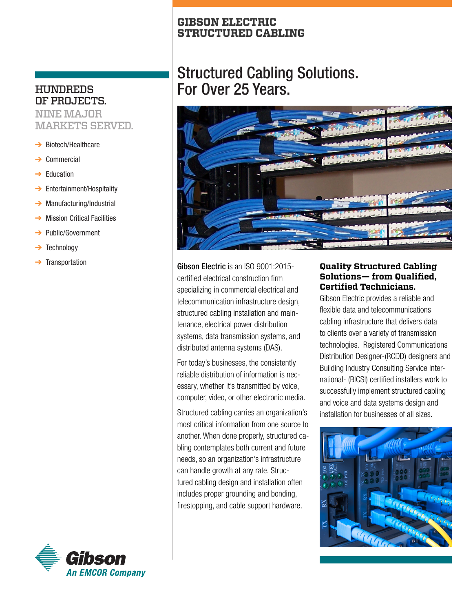## **GIBSON ELECTRIC STRUCTURED CABLING**

# Structured Cabling Solutions. For Over 25 Years.



Gibson Electric is an ISO 9001:2015 certified electrical construction firm specializing in commercial electrical and telecommunication infrastructure design, structured cabling installation and maintenance, electrical power distribution systems, data transmission systems, and distributed antenna systems (DAS).

For today's businesses, the consistently reliable distribution of information is necessary, whether it's transmitted by voice, computer, video, or other electronic media.

Structured cabling carries an organization's most critical information from one source to another. When done properly, structured cabling contemplates both current and future needs, so an organization's infrastructure can handle growth at any rate. Structured cabling design and installation often includes proper grounding and bonding, firestopping, and cable support hardware.

# **Quality Structured Cabling Solutions— from Qualified, Certified Technicians.**

Gibson Electric provides a reliable and flexible data and telecommunications cabling infrastructure that delivers data to clients over a variety of transmission technologies. Registered Communications Distribution Designer-(RCDD) designers and Building Industry Consulting Service International- (BICSI) certified installers work to successfully implement structured cabling and voice and data systems design and installation for businesses of all sizes.



# **HUNDREDS** OF PROJECTS.

NINE MAJOR MARKETS SERVED.

- ➔ Biotech/Healthcare
- **Commercial**
- **Education**
- **→** Entertainment/Hospitality
- $\rightarrow$  Manufacturing/Industrial
- **Mission Critical Facilities**
- ➔ Public/Government
- **→** Technology
- **Transportation**